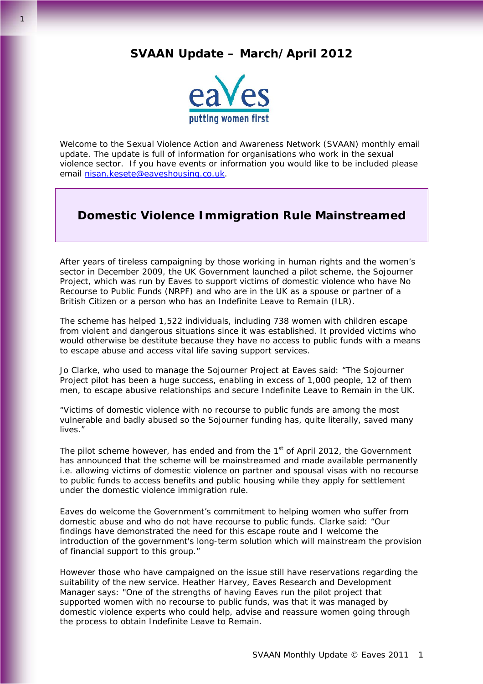# **SVAAN Update – March/April 2012**



Welcome to the Sexual Violence Action and Awareness Network (SVAAN) monthly email update. The update is full of information for organisations who work in the sexual violence sector. If you have events or information you would like to be included please email [nisan.kesete@eaveshousing.co.uk.](mailto:nisan.kesete@eaveshousing.co.uk)

# **Domestic Violence Immigration Rule Mainstreamed**

After years of tireless campaigning by those working in human rights and the women's sector in December 2009, the UK Government launched a pilot scheme, the Sojourner Project, which was run by Eaves to support victims of domestic violence who have No Recourse to Public Funds (NRPF) and who are in the UK as a spouse or partner of a British Citizen or a person who has an Indefinite Leave to Remain (ILR).

The scheme has helped 1,522 individuals, including 738 women with children escape from violent and dangerous situations since it was established. It provided victims who would otherwise be destitute because they have no access to public funds with a means to escape abuse and access vital life saving support services.

Jo Clarke, who used to manage the Sojourner Project at Eaves said: "The Sojourner Project pilot has been a huge success, enabling in excess of 1,000 people, 12 of them men, to escape abusive relationships and secure Indefinite Leave to Remain in the UK.

"Victims of domestic violence with no recourse to public funds are among the most vulnerable and badly abused so the Sojourner funding has, quite literally, saved many lives."

The pilot scheme however, has ended and from the 1<sup>st</sup> of April 2012, the Government has announced that the scheme will be mainstreamed and made available permanently i.e. allowing victims of domestic violence on partner and spousal visas with no recourse to public funds to access benefits and public housing while they apply for settlement under the domestic violence immigration rule.

Eaves do welcome the Government's commitment to helping women who suffer from domestic abuse and who do not have recourse to public funds. Clarke said: "Our findings have demonstrated the need for this escape route and I welcome the introduction of the government's long-term solution which will mainstream the provision of financial support to this group."

However those who have campaigned on the issue still have reservations regarding the suitability of the new service. Heather Harvey, Eaves Research and Development Manager says: "One of the strengths of having Eaves run the pilot project that supported women with no recourse to public funds, was that it was managed by domestic violence experts who could help, advise and reassure women going through the process to obtain Indefinite Leave to Remain.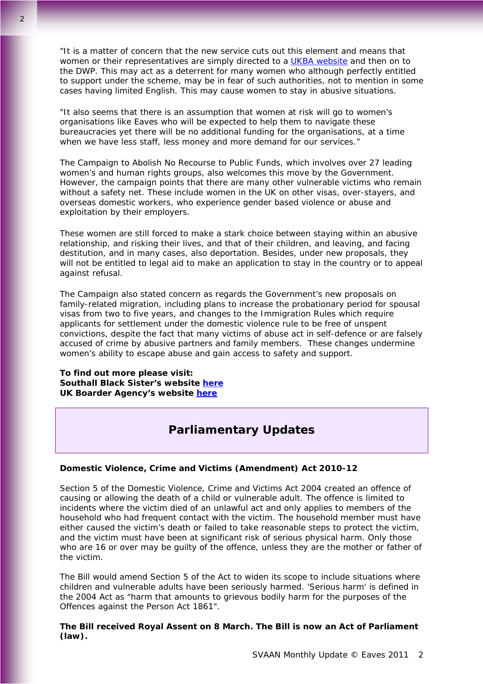"It is a matter of concern that the new service cuts out this element and means that women or their representatives are simply directed to a UKBA website and then on to the DWP. This may act as a deterrent for many women who although perfectly entitled to support under the scheme, may be in fear of such authorities, not to mention in some cases having limited English. This may cause women to stay in abusive situations.

"It also seems that there is an assumption that women at risk will go to women's organisations like Eaves who will be expected to help them to navigate these bureaucracies yet there will be no additional funding for the organisations, at a time when we have less staff, less money and more demand for our services."

The Campaign to Abolish No Recourse to Public Funds, which involves over 27 leading women's and human rights groups, also welcomes this move by the Government. However, the campaign points that there are many other vulnerable victims who remain without a safety net. These include women in the UK on other visas, over-stayers, and overseas domestic workers, who experience gender based violence or abuse and exploitation by their employers.

These women are still forced to make a stark choice between staying within an abusive relationship, and risking their lives, and that of their children, and leaving, and facing destitution, and in many cases, also deportation. Besides, under new proposals, they will not be entitled to legal aid to make an application to stay in the country or to appeal against refusal.

The Campaign also stated concern as regards the Government's new proposals on family-related migration, including plans to increase the probationary period for spousal visas from two to five years, and changes to the Immigration Rules which require applicants for settlement under the domestic violence rule to be free of unspent convictions, despite the fact that many victims of abuse act in self-defence or are falsely accused of crime by abusive partners and family members. These changes undermine women's ability to escape abuse and gain access to safety and support.

**To find out more please visit: Southall Black Sister's website [here](http://www.southallblacksisters.org.uk/campaign-celebrates-victory-for-victims-of-domestic-violence/) UK Boarder Agency's website here**

# **Parliamentary Updates**

# **Domestic Violence, Crime and Victims (Amendment) Act 2010-12**

Section 5 of the Domestic Violence, Crime and Victims Act 2004 created an offence of causing or allowing the death of a child or vulnerable adult. The offence is limited to incidents where the victim died of an unlawful act and only applies to members of the household who had frequent contact with the victim. The household member must have either caused the victim's death or failed to take reasonable steps to protect the victim, and the victim must have been at significant risk of serious physical harm. Only those who are 16 or over may be guilty of the offence, unless they are the mother or father of the victim.

The Bill would amend Section 5 of the Act to widen its scope to include situations where children and vulnerable adults have been seriously harmed. 'Serious harm' is defined in the 2004 Act as "harm that amounts to grievous bodily harm for the purposes of the Offences against the Person Act 1861".

# **The Bill received Royal Assent on 8 March. The Bill is now an Act of Parliament (law).**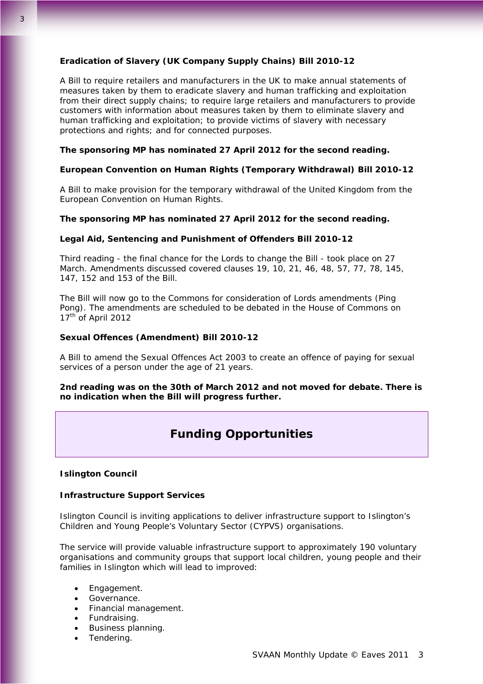# **Eradication of Slavery (UK Company Supply Chains) Bill 2010-12**

A Bill to require retailers and manufacturers in the UK to make annual statements of measures taken by them to eradicate slavery and human trafficking and exploitation from their direct supply chains; to require large retailers and manufacturers to provide customers with information about measures taken by them to eliminate slavery and human trafficking and exploitation; to provide victims of slavery with necessary protections and rights; and for connected purposes.

# **The sponsoring MP has nominated 27 April 2012 for the second reading.**

## **European Convention on Human Rights (Temporary Withdrawal) Bill 2010-12**

A Bill to make provision for the temporary withdrawal of the United Kingdom from the European Convention on Human Rights.

# **The sponsoring MP has nominated 27 April 2012 for the second reading.**

#### **Legal Aid, Sentencing and Punishment of Offenders Bill 2010-12**

Third reading - the final chance for the Lords to change the Bill - took place on 27 March. Amendments discussed covered clauses 19, 10, 21, 46, 48, 57, 77, 78, 145, 147, 152 and 153 of the Bill.

The Bill will now go to the Commons for consideration of Lords amendments (Ping Pong). The amendments are scheduled to be debated in the House of Commons on  $17<sup>th</sup>$  of April 2012

#### **Sexual Offences (Amendment) Bill 2010-12**

A Bill to amend the Sexual Offences Act 2003 to create an offence of paying for sexual services of a person under the age of 21 years.

# **2nd reading was on the 30th of March 2012 and not moved for debate. There is no indication when the Bill will progress further.**

# **Funding Opportunities**

## **Islington Council**

#### **Infrastructure Support Services**

Islington Council is inviting applications to deliver infrastructure support to Islington's Children and Young People's Voluntary Sector (CYPVS) organisations.

The service will provide valuable infrastructure support to approximately 190 voluntary organisations and community groups that support local children, young people and their families in Islington which will lead to improved:

- Engagement.
- Governance.
- Financial management.
- Fundraising.
- Business planning.
- Tendering.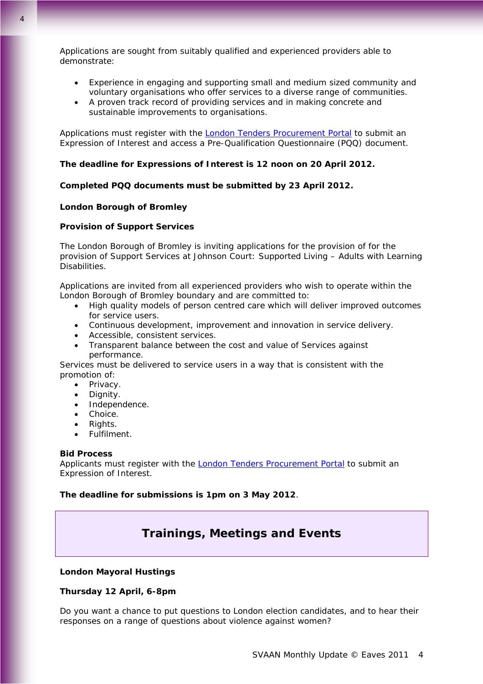Applications are sought from suitably qualified and experienced providers able to demonstrate:

- Experience in engaging and supporting small and medium sized community and voluntary organisations who offer services to a diverse range of communities.
- A proven track record of providing services and in making concrete and sustainable improvements to organisations.

Applications must register with the **[London Tenders Procurement Portal](https://www.londontenders.org/procontract/supplier.nsf/frm_opportunity?openForm&opp_id=OPP-HIS-DNWC-8SUGMS&search_id=PLAN-SCHDNWC-8SZDCK&contract_id=CONTRACT-DNWC-8SLMNB&org_id=ORG-DNWB-74JHMQ&from=)** to submit an Expression of Interest and access a Pre-Qualification Questionnaire (PQQ) document.

# **The deadline for Expressions of Interest is 12 noon on 20 April 2012.**

#### **Completed PQQ documents must be submitted by 23 April 2012.**

#### **London Borough of Bromley**

# **Provision of Support Services**

The London Borough of Bromley is inviting applications for the provision of for the provision of Support Services at Johnson Court: Supported Living – Adults with Learning Disabilities.

Applications are invited from all experienced providers who wish to operate within the London Borough of Bromley boundary and are committed to:

- High quality models of person centred care which will deliver improved outcomes for service users.
- Continuous development, improvement and innovation in service delivery.
- Accessible, consistent services.
- Transparent balance between the cost and value of Services against performance.

Services must be delivered to service users in a way that is consistent with the promotion of:

- Privacy.
- Dianity.
- Independence.
- Choice.
- Rights.
- Fulfilment.

#### **Bid Process**

Applicants must register with the **London Tenders Procurement Portal** to submit an Expression of Interest.

**The deadline for submissions is 1pm on 3 May 2012**.

# **Trainings, Meetings and Events**

#### **London Mayoral Hustings**

#### **Thursday 12 April, 6-8pm**

*Do you want a chance to put questions to London election candidates, and to hear their responses on a range of questions about violence against women?*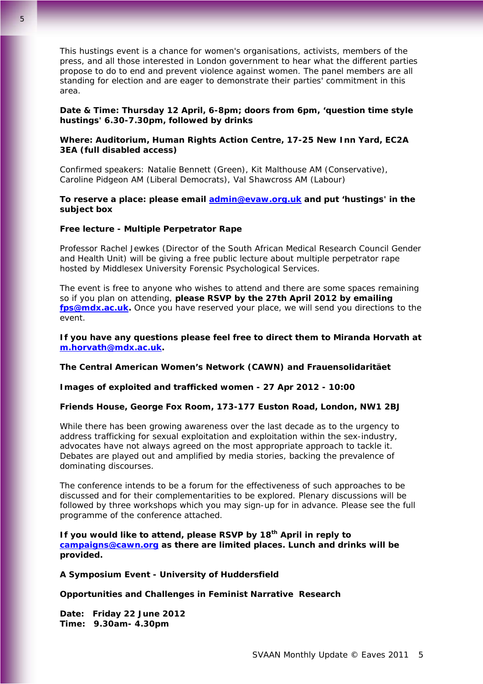This hustings event is a chance for women's organisations, activists, members of the press, and all those interested in London government to hear what the different parties propose to do to end and prevent violence against women. The panel members are all standing for election and are eager to demonstrate their parties' commitment in this area.

## **Date & Time: Thursday 12 April, 6-8pm; doors from 6pm, 'question time style hustings' 6.30-7.30pm, followed by drinks**

# **Where: Auditorium, Human Rights Action Centre, 17-25 New Inn Yard, EC2A 3EA (full disabled access)**

Confirmed speakers: Natalie Bennett (Green), Kit Malthouse AM (Conservative), Caroline Pidgeon AM (Liberal Democrats), Val Shawcross AM (Labour)

# **To reserve a place: please email [admin@evaw.org.uk](mailto:admin@evaw.org.uk) and put 'hustings' in the subject box**

# **Free lecture - Multiple Perpetrator Rape**

Professor Rachel Jewkes (Director of the South African Medical Research Council Gender and Health Unit) will be giving a free public lecture about multiple perpetrator rape hosted by Middlesex University Forensic Psychological Services.

The event is free to anyone who wishes to attend and there are some spaces remaining so if you plan on attending, **please RSVP by the 27th April 2012 by emailing [fps@mdx.ac.uk](mailto:fps@mdx.ac.uk).** Once you have reserved your place, we will send you directions to the event.

**If you have any questions please feel free to direct them to Miranda Horvath at [m.horvath@mdx.ac.uk](mailto:m.horvath@mdx.ac.uk).** 

#### **The Central American Women's Network (CAWN) and Frauensolidaritäet**

## **Images of exploited and trafficked women - 27 Apr 2012 - 10:00**

#### **Friends House, George Fox Room, 173-177 Euston Road, London, NW1 2BJ**

While there has been growing awareness over the last decade as to the urgency to address trafficking for sexual exploitation and exploitation within the sex-industry, advocates have not always agreed on the most appropriate approach to tackle it. Debates are played out and amplified by media stories, backing the prevalence of dominating discourses.

The conference intends to be a forum for the effectiveness of such approaches to be discussed and for their complementarities to be explored. Plenary discussions will be followed by three workshops which you may sign-up for in advance. Please see the full programme of the conference attached.

**If you would like to attend, please RSVP by 18th April in reply to [campaigns@cawn.org](mailto:campaigns@cawn.org) as there are limited places. Lunch and drinks will be provided.** 

**A Symposium Event - University of Huddersfield** 

#### **Opportunities and Challenges in Feminist Narrative Research**

**Date: Friday 22 June 2012 Time: 9.30am- 4.30pm**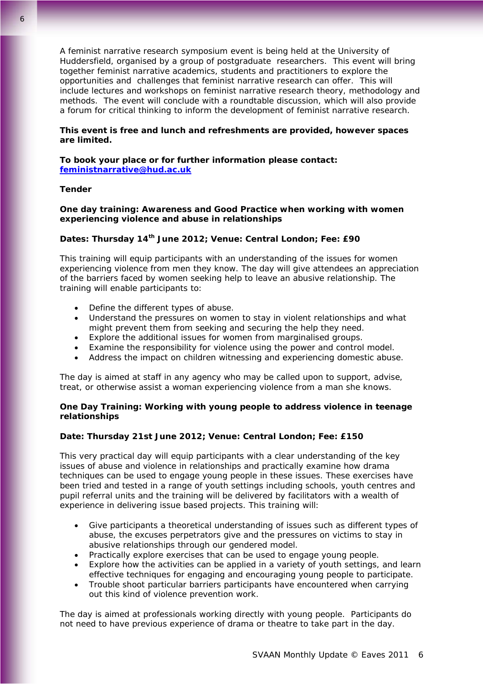A feminist narrative research symposium event is being held at the University of Huddersfield, organised by a group of postgraduate researchers. This event will bring together feminist narrative academics, students and practitioners to explore the opportunities and challenges that feminist narrative research can offer. This will include lectures and workshops on feminist narrative research theory, methodology and methods. The event will conclude with a roundtable discussion, which will also provide a forum for critical thinking to inform the development of feminist narrative research.

# **This event is free and lunch and refreshments are provided, however spaces are limited.**

# **To book your place or for further information please contact: [feministnarrative@hud.ac.uk](mailto:feministnarrative@hud.ac.uk)**

#### **Tender**

# **One day training: Awareness and Good Practice when working with women experiencing violence and abuse in relationships**

# **Dates: Thursday 14th June 2012; Venue: Central London; Fee: £90**

This training will equip participants with an understanding of the issues for women experiencing violence from men they know. The day will give attendees an appreciation of the barriers faced by women seeking help to leave an abusive relationship. The training will enable participants to:

- Define the different types of abuse.
- Understand the pressures on women to stay in violent relationships and what might prevent them from seeking and securing the help they need.
- Explore the additional issues for women from marginalised groups.
- Examine the responsibility for violence using the power and control model.
- Address the impact on children witnessing and experiencing domestic abuse.

The day is aimed at staff in any agency who may be called upon to support, advise, treat, or otherwise assist a woman experiencing violence from a man she knows.

# **One Day Training: Working with young people to address violence in teenage relationships**

## **Date: Thursday 21st June 2012; Venue: Central London; Fee: £150**

This very practical day will equip participants with a clear understanding of the key issues of abuse and violence in relationships and practically examine how drama techniques can be used to engage young people in these issues. These exercises have been tried and tested in a range of youth settings including schools, youth centres and pupil referral units and the training will be delivered by facilitators with a wealth of experience in delivering issue based projects. This training will:

- Give participants a theoretical understanding of issues such as different types of abuse, the excuses perpetrators give and the pressures on victims to stay in abusive relationships through our gendered model.
- Practically explore exercises that can be used to engage young people.
- Explore how the activities can be applied in a variety of youth settings, and learn effective techniques for engaging and encouraging young people to participate.
- Trouble shoot particular barriers participants have encountered when carrying out this kind of violence prevention work.

The day is aimed at professionals working directly with young people. Participants do not need to have previous experience of drama or theatre to take part in the day.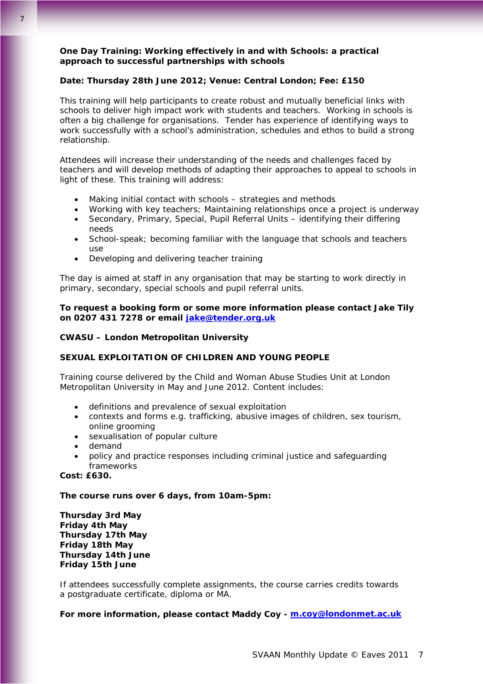# **One Day Training: Working effectively in and with Schools: a practical approach to successful partnerships with schools**

# **Date: Thursday 28th June 2012; Venue: Central London; Fee: £150**

This training will help participants to create robust and mutually beneficial links with schools to deliver high impact work with students and teachers. Working in schools is often a big challenge for organisations. Tender has experience of identifying ways to work successfully with a school's administration, schedules and ethos to build a strong relationship.

Attendees will increase their understanding of the needs and challenges faced by teachers and will develop methods of adapting their approaches to appeal to schools in light of these. This training will address:

- Making initial contact with schools strategies and methods
- Working with key teachers; Maintaining relationships once a project is underway
- Secondary, Primary, Special, Pupil Referral Units identifying their differing needs
- School-speak; becoming familiar with the language that schools and teachers use
- Developing and delivering teacher training

The day is aimed at staff in any organisation that may be starting to work directly in primary, secondary, special schools and pupil referral units.

**To request a booking form or some more information please contact Jake Tily on 0207 431 7278 or email [jake@tender.org.uk](mailto:jake@tender.org.uk)**

## **CWASU – London Metropolitan University**

# **SEXUAL EXPLOITATION OF CHILDREN AND YOUNG PEOPLE**

Training course delivered by the Child and Woman Abuse Studies Unit at London Metropolitan University in May and June 2012. Content includes:

- definitions and prevalence of sexual exploitation
- contexts and forms e.g. trafficking, abusive images of children, sex tourism, online grooming
- sexualisation of popular culture
- demand
- policy and practice responses including criminal justice and safeguarding frameworks

**Cost: £630.** 

7

## **The course runs over 6 days, from 10am-5pm:**

**Thursday 3rd May Friday 4th May Thursday 17th May Friday 18th May Thursday 14th June Friday 15th June** 

If attendees successfully complete assignments, the course carries credits towards a postgraduate certificate, diploma or MA.

**For more information, please contact Maddy Coy - [m.coy@londonmet.ac.uk](mailto:m.coy@londonmet.ac.uk)**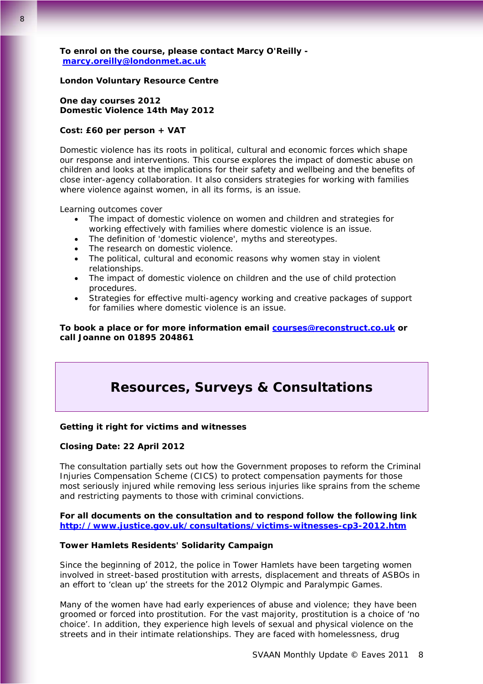**To enrol on the course, please contact Marcy O'Reilly [marcy.oreilly@londonmet.ac.uk](mailto:marcy.oreilly@londonmet.ac.uk)**

#### **London Voluntary Resource Centre**

**One day courses 2012 Domestic Violence 14th May 2012** 

# **Cost: £60 per person + VAT**

Domestic violence has its roots in political, cultural and economic forces which shape our response and interventions. This course explores the impact of domestic abuse on children and looks at the implications for their safety and wellbeing and the benefits of close inter-agency collaboration. It also considers strategies for working with families where violence against women, in all its forms, is an issue.

Learning outcomes cover

- The impact of domestic violence on women and children and strategies for working effectively with families where domestic violence is an issue.
- The definition of 'domestic violence', myths and stereotypes.
- The research on domestic violence.
- The political, cultural and economic reasons why women stay in violent relationships.
- The impact of domestic violence on children and the use of child protection procedures.
- Strategies for effective multi-agency working and creative packages of support for families where domestic violence is an issue.

**To book a place or for more information email [courses@reconstruct.co.uk](mailto:courses@reconstruct.co.uk?subject=Course%20code:%20DV140512) or call Joanne on 01895 204861**

# **Resources, Surveys & Consultations**

#### **Getting it right for victims and witnesses**

## **Closing Date: 22 April 2012**

The consultation partially sets out how the Government proposes to reform the Criminal Injuries Compensation Scheme (CICS) to protect compensation payments for those most seriously injured while removing less serious injuries like sprains from the scheme and restricting payments to those with criminal convictions.

#### **For all documents on the consultation and to respond follow the following link <http://www.justice.gov.uk/consultations/victims-witnesses-cp3-2012.htm>**

#### **Tower Hamlets Residents' Solidarity Campaign**

Since the beginning of 2012, the police in Tower Hamlets have been targeting women involved in street-based prostitution with arrests, displacement and threats of ASBOs in an effort to 'clean up' the streets for the 2012 Olympic and Paralympic Games.

Many of the women have had early experiences of abuse and violence; they have been groomed or forced into prostitution. For the vast majority, prostitution is a choice of 'no choice'. In addition, they experience high levels of sexual and physical violence on the streets and in their intimate relationships. They are faced with homelessness, drug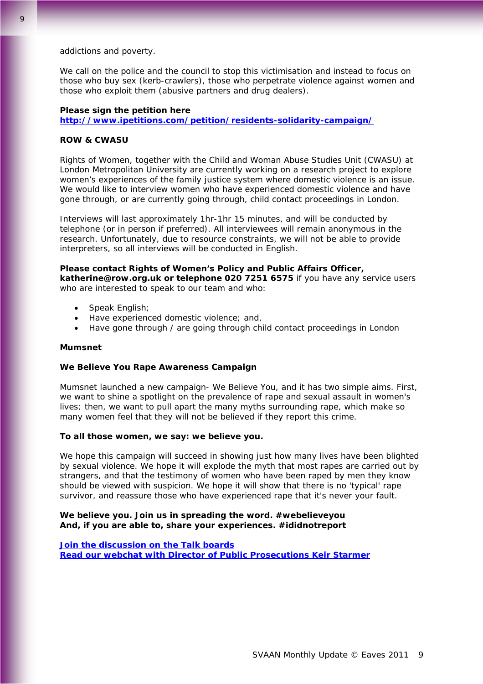addictions and poverty.

We call on the police and the council to stop this victimisation and instead to focus on those who buy sex (kerb-crawlers), those who perpetrate violence against women and those who exploit them (abusive partners and drug dealers).

## **Please sign the petition here**

**<http://www.ipetitions.com/petition/residents-solidarity-campaign/>**

# **ROW & CWASU**

Rights of Women, together with the Child and Woman Abuse Studies Unit (CWASU) at London Metropolitan University are currently working on a research project to explore women's experiences of the family justice system where domestic violence is an issue. We would like to interview women who have experienced domestic violence and have gone through, or are currently going through, child contact proceedings in London.

Interviews will last approximately 1hr-1hr 15 minutes, and will be conducted by telephone (or in person if preferred). All interviewees will remain anonymous in the research. Unfortunately, due to resource constraints, we will not be able to provide interpreters, so all interviews will be conducted in English.

## **Please contact Rights of Women's Policy and Public Affairs Officer, katherine@row.org.uk or telephone 020 7251 6575** if you have any service users who are interested to speak to our team and who:

- Speak Fnglish:
- Have experienced domestic violence; and,
- Have gone through / are going through child contact proceedings in London

#### **Mumsnet**

#### **We Believe You Rape Awareness Campaign**

Mumsnet launched a new campaign- We Believe You, and it has two simple aims. First, we want to shine a spotlight on the prevalence of rape and sexual assault in women's lives; then, we want to pull apart the many myths surrounding rape, which make so many women feel that they will not be believed if they report this crime.

#### **To all those women, we say: we believe you.**

We hope this campaign will succeed in showing just how many lives have been blighted by sexual violence. We hope it will explode the myth that most rapes are carried out by strangers, and that the testimony of women who have been raped by men they know should be viewed with suspicion. We hope it will show that there is no 'typical' rape survivor, and reassure those who have experienced rape that it's never your fault.

## **We believe you. Join us in spreading the word. #webelieveyou And, if you are able to, share your experiences. #ididnotreport**

**[Join the discussion on the Talk boards](http://www.mumsnet.com/Talk/campaigns/1424654-We-Believe-You-were-launching-our-rape-awareness-campaign-today) [Read our webchat with Director of Public Prosecutions Keir Starmer](http://www.mumsnet.com/Talk/mumsnet_live_events/1426525-Live-webchat-with-Keir-Starmer-Director-of-Public-Prosecutions-Tuesday-13-March-9-30-10-30am)**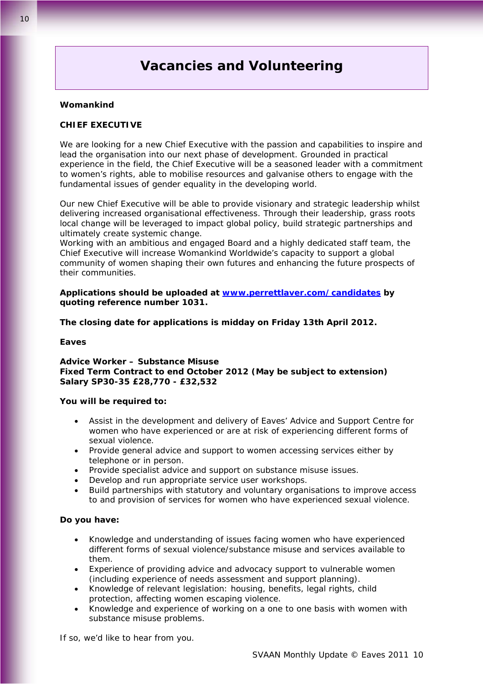# **Vacancies and Volunteering**

# **Womankind**

# **CHIEF EXECUTIVE**

We are looking for a new Chief Executive with the passion and capabilities to inspire and lead the organisation into our next phase of development. Grounded in practical experience in the field, the Chief Executive will be a seasoned leader with a commitment to women's rights, able to mobilise resources and galvanise others to engage with the fundamental issues of gender equality in the developing world.

Our new Chief Executive will be able to provide visionary and strategic leadership whilst delivering increased organisational effectiveness. Through their leadership, grass roots local change will be leveraged to impact global policy, build strategic partnerships and ultimately create systemic change.

Working with an ambitious and engaged Board and a highly dedicated staff team, the Chief Executive will increase Womankind Worldwide's capacity to support a global community of women shaping their own futures and enhancing the future prospects of their communities.

# **Applications should be uploaded at [www.perrettlaver.com/candidates](http://www.perrettlaver.com/candidates) by quoting reference number 1031.**

#### **The closing date for applications is midday on Friday 13th April 2012.**

#### **Eaves**

**Advice Worker – Substance Misuse Fixed Term Contract to end October 2012 (May be subject to extension) Salary SP30-35 £28,770 - £32,532** 

#### **You will be required to:**

- Assist in the development and delivery of Eaves' Advice and Support Centre for women who have experienced or are at risk of experiencing different forms of sexual violence.
- Provide general advice and support to women accessing services either by telephone or in person.
- Provide specialist advice and support on substance misuse issues.
- Develop and run appropriate service user workshops.
- Build partnerships with statutory and voluntary organisations to improve access to and provision of services for women who have experienced sexual violence.

#### **Do you have:**

- Knowledge and understanding of issues facing women who have experienced different forms of sexual violence/substance misuse and services available to them.
- Experience of providing advice and advocacy support to vulnerable women (including experience of needs assessment and support planning).
- Knowledge of relevant legislation: housing, benefits, legal rights, child protection, affecting women escaping violence.
- Knowledge and experience of working on a one to one basis with women with substance misuse problems.

If so, we'd like to hear from you.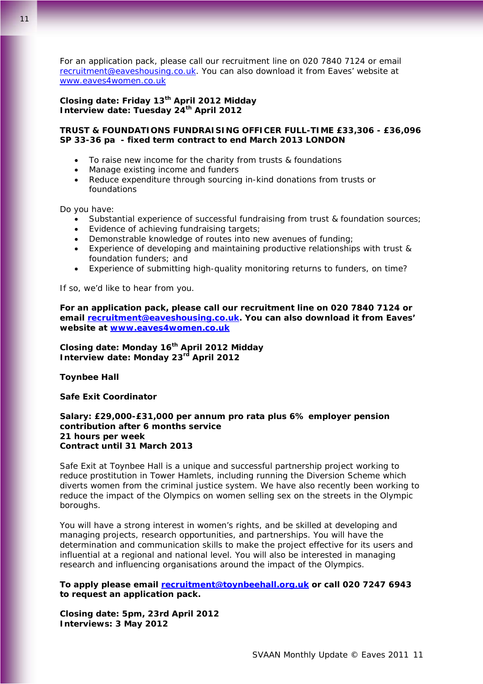For an application pack, please call our recruitment line on 020 7840 7124 or email [recruitment@eaveshousing.co.uk](mailto:recruitment@eaveshousing.co.uk). You can also download it from Eaves' website at [www.eaves4women.co.uk](http://www.eaves4women.co.uk/)

# **Closing date: Friday 13th April 2012 Midday Interview date: Tuesday 24<sup>th</sup> April 2012**

# **TRUST & FOUNDATIONS FUNDRAISING OFFICER FULL-TIME £33,306 - £36,096 SP 33-36 pa - fixed term contract to end March 2013 LONDON**

- To raise new income for the charity from trusts & foundations
- Manage existing income and funders
- Reduce expenditure through sourcing in-kind donations from trusts or foundations

Do you have:

- Substantial experience of successful fundraising from trust & foundation sources;
- Evidence of achieving fundraising targets;
- Demonstrable knowledge of routes into new avenues of funding;
- Experience of developing and maintaining productive relationships with trust & foundation funders; and
- Experience of submitting high-quality monitoring returns to funders, on time?

If so, we'd like to hear from you.

**For an application pack, please call our recruitment line on 020 7840 7124 or email [recruitment@eaveshousing.co.uk.](mailto:recruitment@eaveshousing.co.uk) You can also download it from Eaves' website at [www.eaves4women.co.uk](http://www.eaves4women.co.uk/)**

**Closing date: Monday 16th April 2012 Midday Interview date: Monday 23rd April 2012** 

**Toynbee Hall** 

**Safe Exit Coordinator**

# **Salary: £29,000-£31,000 per annum pro rata plus 6% employer pension contribution after 6 months service 21 hours per week Contract until 31 March 2013**

Safe Exit at Toynbee Hall is a unique and successful partnership project working to reduce prostitution in Tower Hamlets, including running the Diversion Scheme which diverts women from the criminal justice system. We have also recently been working to reduce the impact of the Olympics on women selling sex on the streets in the Olympic boroughs.

You will have a strong interest in women's rights, and be skilled at developing and managing projects, research opportunities, and partnerships. You will have the determination and communication skills to make the project effective for its users and influential at a regional and national level. You will also be interested in managing research and influencing organisations around the impact of the Olympics.

**To apply please email [recruitment@toynbeehall.org.uk](mailto:recruitment@toynbeehall.org.uk) or call 020 7247 6943 to request an application pack.**

**Closing date: 5pm, 23rd April 2012 Interviews: 3 May 2012**